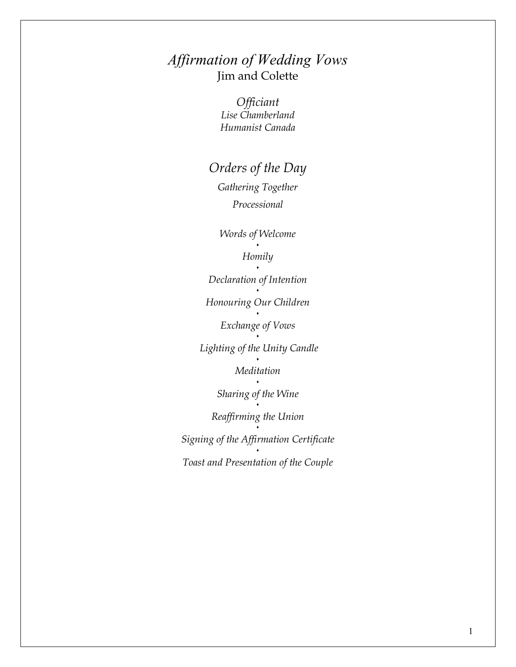## *Affirmation of Wedding Vows* Jim and Colette

*Officiant Lise Chamberland Humanist Canada* 

## *Orders of the Day*

*Gathering Together Processional* 

*Words of Welcome*  .

#### *Homily*

 $\ddot{\phantom{0}}$ *Declaration of Intention*  . *Honouring Our Children*  . *Exchange of Vows*   $\ddot{\phantom{0}}$  *Lighting of the Unity Candle* . *Meditation*  . *Sharing of the Wine*   $\ddot{\phantom{0}}$ *Reaffirming the Union*   $\cdot$ *Signing of the Affirmation Certificate Toast and Presentation of the Couple*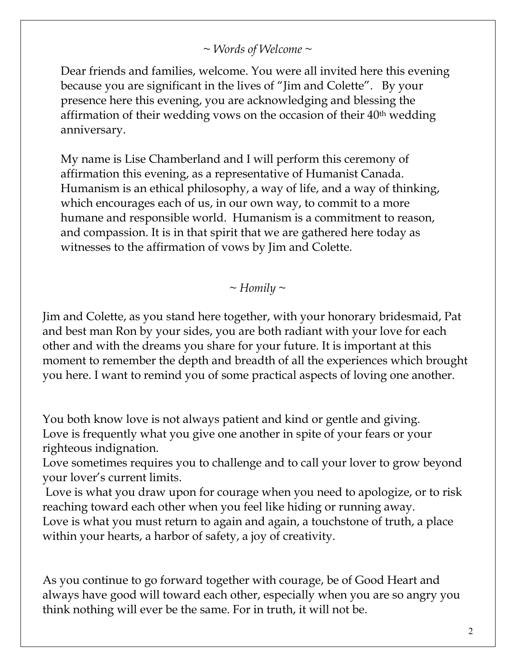*~ Words of Welcome ~* 

Dear friends and families, welcome. You were all invited here this evening because you are significant in the lives of "Jim and Colette". By your presence here this evening, you are acknowledging and blessing the affirmation of their wedding vows on the occasion of their 40th wedding anniversary.

My name is Lise Chamberland and I will perform this ceremony of affirmation this evening, as a representative of Humanist Canada. Humanism is an ethical philosophy, a way of life, and a way of thinking, which encourages each of us, in our own way, to commit to a more humane and responsible world. Humanism is a commitment to reason, and compassion. It is in that spirit that we are gathered here today as witnesses to the affirmation of vows by Jim and Colette.

*~ Homily ~* 

Jim and Colette, as you stand here together, with your honorary bridesmaid, Pat and best man Ron by your sides, you are both radiant with your love for each other and with the dreams you share for your future. It is important at this moment to remember the depth and breadth of all the experiences which brought you here. I want to remind you of some practical aspects of loving one another.

You both know love is not always patient and kind or gentle and giving. Love is frequently what you give one another in spite of your fears or your righteous indignation.

Love sometimes requires you to challenge and to call your lover to grow beyond your lover's current limits.

 Love is what you draw upon for courage when you need to apologize, or to risk reaching toward each other when you feel like hiding or running away. Love is what you must return to again and again, a touchstone of truth, a place within your hearts, a harbor of safety, a joy of creativity.

As you continue to go forward together with courage, be of Good Heart and always have good will toward each other, especially when you are so angry you think nothing will ever be the same. For in truth, it will not be.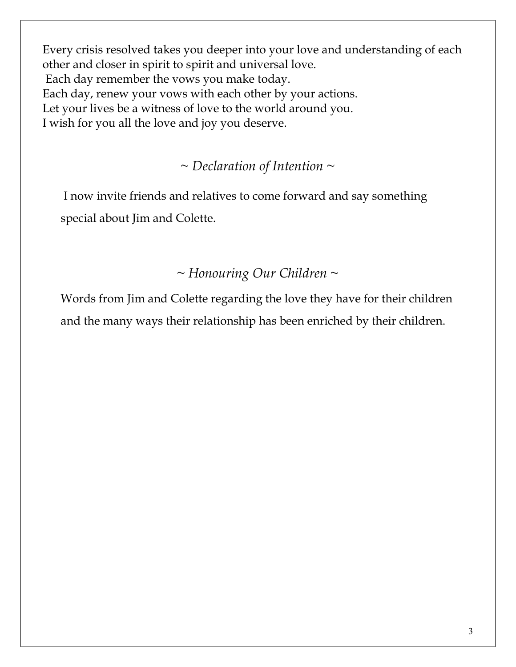Every crisis resolved takes you deeper into your love and understanding of each other and closer in spirit to spirit and universal love. Each day remember the vows you make today. Each day, renew your vows with each other by your actions. Let your lives be a witness of love to the world around you. I wish for you all the love and joy you deserve.

### *~ Declaration of Intention ~*

 I now invite friends and relatives to come forward and say something special about Jim and Colette.

### *~ Honouring Our Children ~*

Words from Jim and Colette regarding the love they have for their children and the many ways their relationship has been enriched by their children.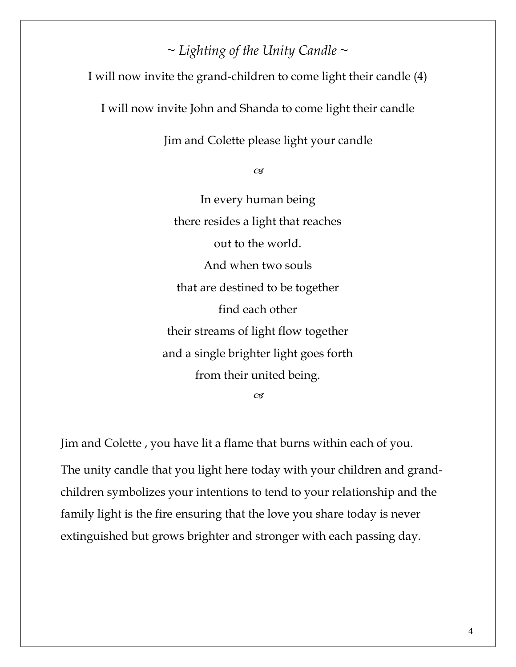# *~ Lighting of the Unity Candle ~*

I will now invite the grand-children to come light their candle (4)

I will now invite John and Shanda to come light their candle

Jim and Colette please light your candle

 $\mathscr{C}$ 

In every human being there resides a light that reaches out to the world. And when two souls that are destined to be together find each other their streams of light flow together and a single brighter light goes forth from their united being.  $\alpha$ 

Jim and Colette , you have lit a flame that burns within each of you. The unity candle that you light here today with your children and grandchildren symbolizes your intentions to tend to your relationship and the family light is the fire ensuring that the love you share today is never extinguished but grows brighter and stronger with each passing day.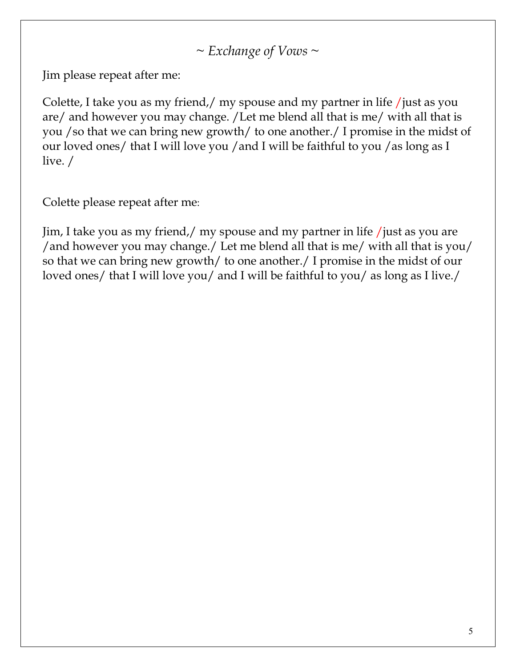# ~ *Exchange of Vows ~*

Jim please repeat after me:

Colette, I take you as my friend,/ my spouse and my partner in life /just as you are/ and however you may change. /Let me blend all that is me/ with all that is you /so that we can bring new growth/ to one another./ I promise in the midst of our loved ones/ that I will love you / and I will be faithful to you / as long as I live. /

Colette please repeat after me:

Jim, I take you as my friend,/ my spouse and my partner in life /just as you are /and however you may change./ Let me blend all that is me/ with all that is you/ so that we can bring new growth/ to one another./ I promise in the midst of our loved ones/ that I will love you/ and I will be faithful to you/ as long as I live./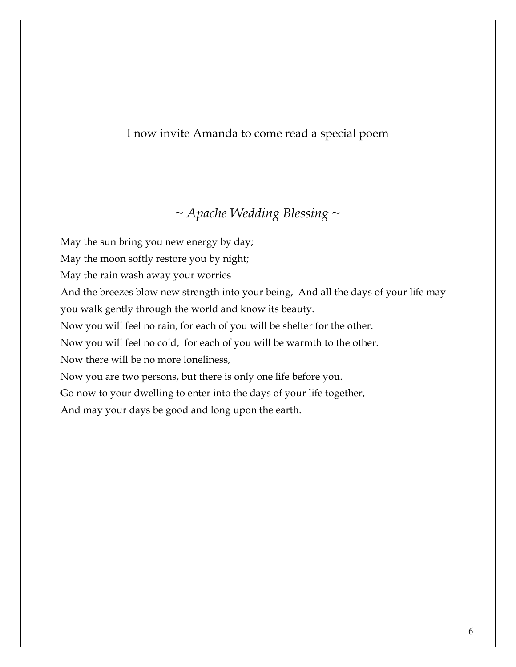### I now invite Amanda to come read a special poem

### *~ Apache Wedding Blessing ~*

May the sun bring you new energy by day; May the moon softly restore you by night; May the rain wash away your worries And the breezes blow new strength into your being, And all the days of your life may you walk gently through the world and know its beauty. Now you will feel no rain, for each of you will be shelter for the other. Now you will feel no cold, for each of you will be warmth to the other. Now there will be no more loneliness, Now you are two persons, but there is only one life before you. Go now to your dwelling to enter into the days of your life together, And may your days be good and long upon the earth.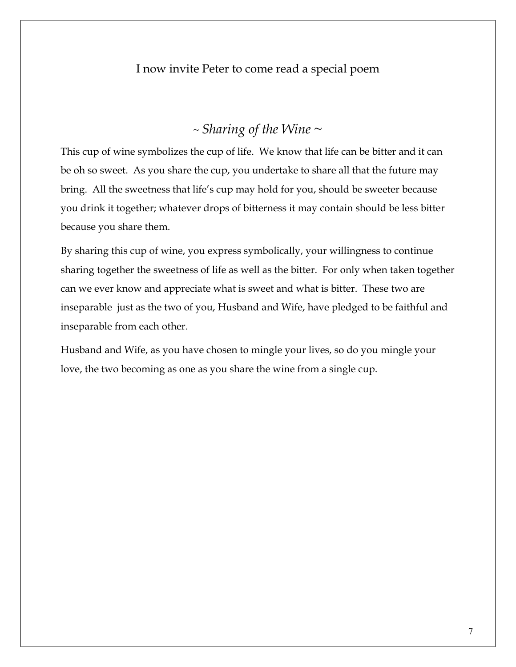#### I now invite Peter to come read a special poem

### ~ *Sharing of the Wine ~*

This cup of wine symbolizes the cup of life. We know that life can be bitter and it can be oh so sweet. As you share the cup, you undertake to share all that the future may bring. All the sweetness that life's cup may hold for you, should be sweeter because you drink it together; whatever drops of bitterness it may contain should be less bitter because you share them.

By sharing this cup of wine, you express symbolically, your willingness to continue sharing together the sweetness of life as well as the bitter. For only when taken together can we ever know and appreciate what is sweet and what is bitter. These two are inseparable just as the two of you, Husband and Wife, have pledged to be faithful and inseparable from each other.

Husband and Wife, as you have chosen to mingle your lives, so do you mingle your love, the two becoming as one as you share the wine from a single cup.